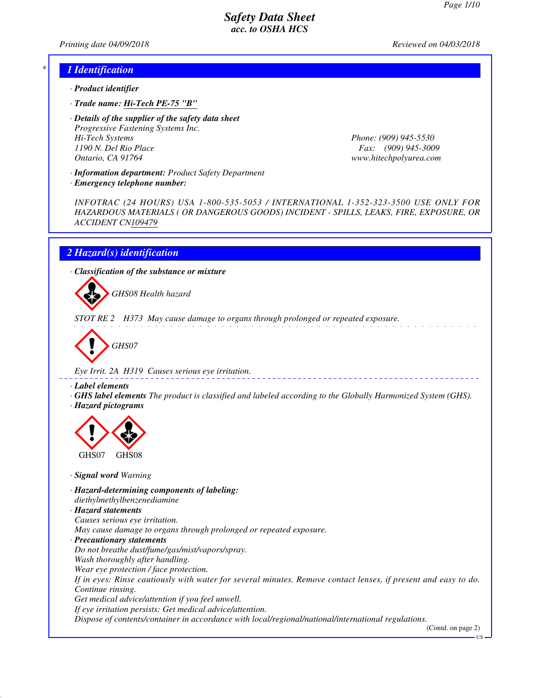*Printing date 04/09/2018 Reviewed on 04/03/2018*

### *\* 1 Identification*

- *· Product identifier*
- *· Trade name: Hi-Tech PE-75 "B"*
- *· Details of the supplier of the safety data sheet Progressive Fastening Systems Inc. Hi-Tech Systems Phone: (909) 945-5530 1190 N. Del Rio Place Fax: (909) 945-3009 Ontario, CA 91764 www.hitechpolyurea.com*

*· Information department: Product Safety Department*

*INFOTRAC (24 HOURS) USA 1-800-535-5053 / INTERNATIONAL 1-352-323-3500 USE ONLY FOR HAZARDOUS MATERIALS ( OR DANGEROUS GOODS) INCIDENT - SPILLS, LEAKS, FIRE, EXPOSURE, OR ACCIDENT CN109479*

## *2 Hazard(s) identification*

*· Emergency telephone number:*

*· Classification of the substance or mixture*

d~*GHS08 Health hazard*

*STOT RE 2 H373 May cause damage to organs through prolonged or repeated exposure.*



*Eye Irrit. 2A H319 Causes serious eye irritation.*

*· Label elements*

*· GHS label elements The product is classified and labeled according to the Globally Harmonized System (GHS). · Hazard pictograms*



*· Signal word Warning*

*· Hazard-determining components of labeling: diethylmethylbenzenediamine*

*· Hazard statements Causes serious eye irritation. May cause damage to organs through prolonged or repeated exposure. · Precautionary statements Do not breathe dust/fume/gas/mist/vapors/spray. Wash thoroughly after handling. Wear eye protection / face protection. If in eyes: Rinse cautiously with water for several minutes. Remove contact lenses, if present and easy to do. Continue rinsing. Get medical advice/attention if you feel unwell. If eye irritation persists: Get medical advice/attention.*

*Dispose of contents/container in accordance with local/regional/national/international regulations.*

(Contd. on page 2) US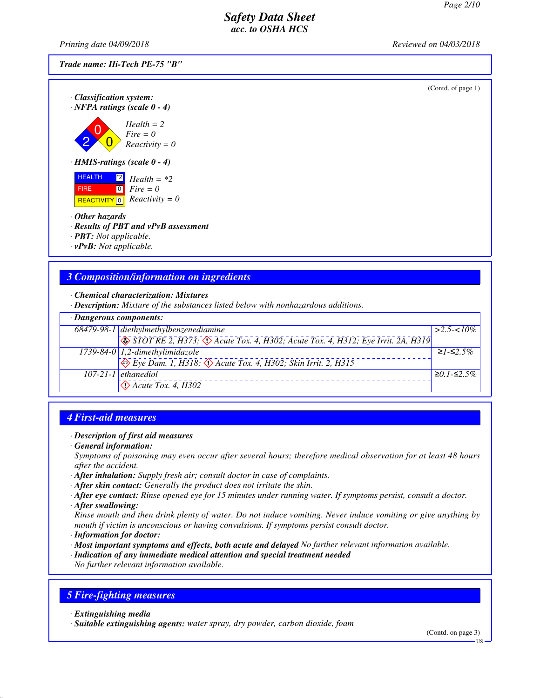*Printing date 04/09/2018 Reviewed on 04/03/2018*

*Trade name: Hi-Tech PE-75 "B"*

(Contd. of page 1)

*· Classification system: · NFPA ratings (scale 0 - 4)*

2  $\overline{0}$  $\overline{0}$ *Health = 2 Fire = 0 Reactivity = 0*

*· HMIS-ratings (scale 0 - 4)*

**HEALTH**  FIRE **REACTIVITY** 0  $\frac{1}{2}$  *Health* = \*2  $\overline{0}$ *Fire = 0 Reactivity = 0*

- *· Other hazards*
- *· Results of PBT and vPvB assessment*
- *· PBT: Not applicable.*
- *· vPvB: Not applicable.*

# *3 Composition/information on ingredients*

*· Chemical characterization: Mixtures*

*· Description: Mixture of the substances listed below with nonhazardous additions.*

| $\cdot$ Dangerous components: |                                                                                                                 |                   |
|-------------------------------|-----------------------------------------------------------------------------------------------------------------|-------------------|
|                               | 68479-98-1 diethylmethylbenzenediamine                                                                          | $\geq 2.5 < 10\%$ |
|                               | $\sqrt{\text{S}$ STOT RE 2, H373; $\sqrt{\text{S}}$ Acute Tox. 4, H302; Acute Tox. 4, H312; Eye Irrit. 2A, H319 |                   |
|                               | 1739-84-0 1,2-dimethylimidazole                                                                                 | $≥1 - ≤2.5%$      |
|                               | $\leftrightarrow$ Eye Dam. 1, H318; $\leftrightarrow$ Acute Tox. 4, H302; Skin Irrit. 2, H315                   |                   |
|                               | $107 - 21 - 1$ ethanediol                                                                                       | $\geq 0.1$ -≤2.5% |
|                               | $\leftrightarrow$ Acute Tox. 4, H302                                                                            |                   |

# *4 First-aid measures*

#### *· Description of first aid measures*

*· General information:*

*Symptoms of poisoning may even occur after several hours; therefore medical observation for at least 48 hours after the accident.*

- *· After inhalation: Supply fresh air; consult doctor in case of complaints.*
- *· After skin contact: Generally the product does not irritate the skin.*
- *· After eye contact: Rinse opened eye for 15 minutes under running water. If symptoms persist, consult a doctor.*
- *· After swallowing:*

*Rinse mouth and then drink plenty of water. Do not induce vomiting. Never induce vomiting or give anything by mouth if victim is unconscious or having convulsions. If symptoms persist consult doctor.*

- *· Information for doctor:*
- *· Most important symptoms and effects, both acute and delayed No further relevant information available.*
- *· Indication of any immediate medical attention and special treatment needed*

*No further relevant information available.*

## *5 Fire-fighting measures*

*· Extinguishing media*

*· Suitable extinguishing agents: water spray, dry powder, carbon dioxide, foam*

(Contd. on page 3)

US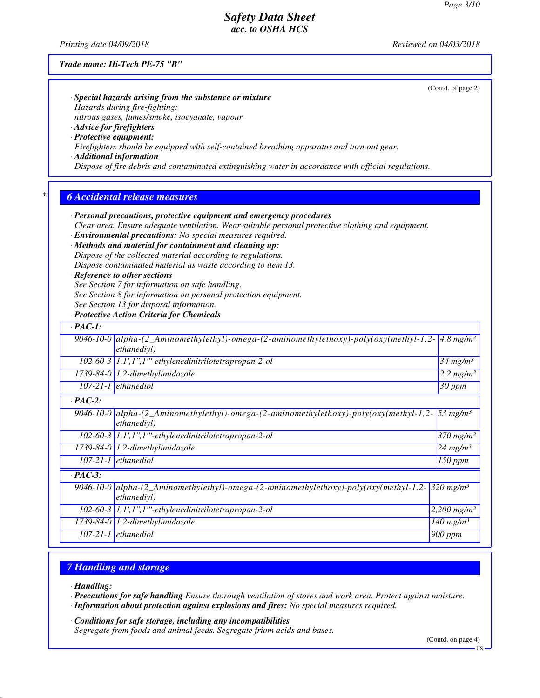(Contd. of page 2)

# *Safety Data Sheet acc. to OSHA HCS*

*Printing date 04/09/2018 Reviewed on 04/03/2018*

#### *Trade name: Hi-Tech PE-75 "B"*

| $\cdot$ Special hazards arising from the substance or mixture |  |
|---------------------------------------------------------------|--|
| Hazards during fire-fighting:                                 |  |
| nitrous gases, fumes/smoke, isocyanate, vapour                |  |
|                                                               |  |

*· Advice for firefighters · Protective equipment:*

*Firefighters should be equipped with self-contained breathing apparatus and turn out gear.*

*· Additional information*

*Dispose of fire debris and contaminated extinguishing water in accordance with official regulations.*

### *\* 6 Accidental release measures*

*· Personal precautions, protective equipment and emergency procedures*

*Clear area. Ensure adequate ventilation. Wear suitable personal protective clothing and equipment.*

*· Environmental precautions: No special measures required.*

*· Methods and material for containment and cleaning up: Dispose of the collected material according to regulations. Dispose contaminated material as waste according to item 13.*

#### *· Reference to other sections*

*See Section 7 for information on safe handling.*

- *See Section 8 for information on personal protection equipment.*
- *See Section 13 for disposal information.*

## *· Protective Action Criteria for Chemicals*

| $\cdot$ PAC-1: |                                                                                                              |                         |  |
|----------------|--------------------------------------------------------------------------------------------------------------|-------------------------|--|
|                | $9046-10-0$ alpha- $(2_A minomethylethyl-)omega(2-aminomethylethoxy)-poly(oxy(methyl-1,2-1))$<br>ethanedivl) | $4.8$ mg/m <sup>3</sup> |  |
|                | $102-60-3$ 1,1',1'',1'''-ethylenedinitrilotetrapropan-2-ol                                                   | $34$ mg/m <sup>3</sup>  |  |
|                | $1739-84-0$ 1,2-dimethylimidazole                                                                            | 2.2 $mg/m^3$            |  |
|                | $107-21-1$ ethanediol                                                                                        | $30$ ppm                |  |
| $\cdot$ PAC-2: |                                                                                                              |                         |  |
|                | 9046-10-0 alpha-(2_Aminomethylethyl)-omega-(2-aminomethylethoxy)-poly(oxy(methyl-1,2-<br>ethanediyl)         | 53 mg/m <sup>3</sup>    |  |
|                | 102-60-3 1,1',1",1"'-ethylenedinitrilotetrapropan-2-ol                                                       | $370$ mg/m <sup>3</sup> |  |
|                | $1739-84-0$ 1,2-dimethylimidazole                                                                            | $24$ mg/m <sup>3</sup>  |  |
|                | $107-21-1$ ethanediol                                                                                        | 150 ppm                 |  |
| $\cdot$ PAC-3: |                                                                                                              |                         |  |
|                | $9046-10-0$ alpha- $(2_A minomethylethyl-)omega(2-aminomethylethoxy)-poly(oxy(methyl-1,2-1))$<br>ethanedivl) | $320 \text{ mg/m}^3$    |  |
|                | $102-60-3$ 1,1',1",1"'-ethylenedinitrilotetrapropan-2-ol                                                     | 2,200 $mg/m^3$          |  |
|                | $1739-84-0$ 1,2-dimethylimidazole                                                                            | 140 mg/m <sup>3</sup>   |  |
|                | $107-21-1$ ethanediol                                                                                        | 900 ppm                 |  |

# *7 Handling and storage*

*· Handling:*

*· Precautions for safe handling Ensure thorough ventilation of stores and work area. Protect against moisture.*

*· Information about protection against explosions and fires: No special measures required.*

*· Conditions for safe storage, including any incompatibilities Segregate from foods and animal feeds. Segregate friom acids and bases.*

(Contd. on page 4)

US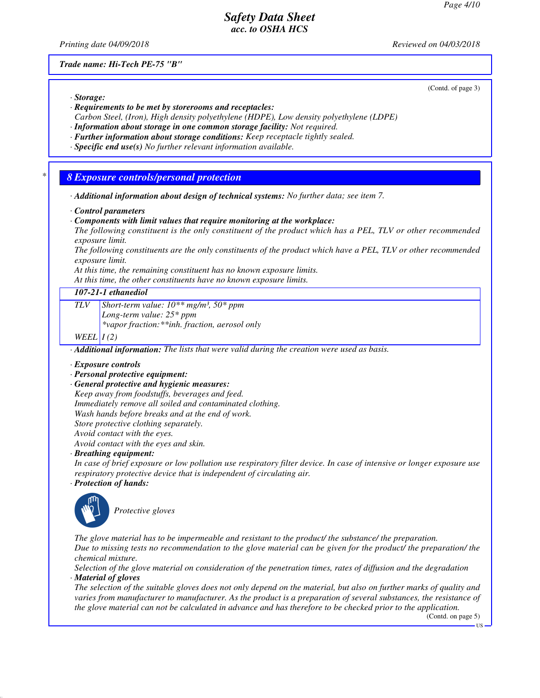*Printing date 04/09/2018 Reviewed on 04/03/2018*

*Trade name: Hi-Tech PE-75 "B"*

(Contd. of page 3)

- *· Storage: · Requirements to be met by storerooms and receptacles:*
- *Carbon Steel, (Iron), High density polyethylene (HDPE), Low density polyethylene (LDPE)*
- *· Information about storage in one common storage facility: Not required.*
- *· Further information about storage conditions: Keep receptacle tightly sealed.*
- *· Specific end use(s) No further relevant information available.*

### *\* 8 Exposure controls/personal protection*

*· Additional information about design of technical systems: No further data; see item 7.*

#### *· Control parameters*

*· Components with limit values that require monitoring at the workplace:*

*The following constituent is the only constituent of the product which has a PEL, TLV or other recommended exposure limit.*

*The following constituents are the only constituents of the product which have a PEL, TLV or other recommended exposure limit.*

*At this time, the remaining constituent has no known exposure limits.*

*At this time, the other constituents have no known exposure limits.*

## *107-21-1 ethanediol*

*TLV Short-term value: 10\*\* mg/m³, 50\* ppm*

*Long-term value: 25\* ppm*

*\*vapor fraction:\*\*inh. fraction, aerosol only*

#### *WEEL I (2)*

*· Additional information: The lists that were valid during the creation were used as basis.*

#### *· Exposure controls*

- *· Personal protective equipment:*
- *· General protective and hygienic measures:*

*Keep away from foodstuffs, beverages and feed.*

*Immediately remove all soiled and contaminated clothing.*

*Wash hands before breaks and at the end of work.*

*Store protective clothing separately. Avoid contact with the eyes.*

*Avoid contact with the eyes and skin.*

*· Breathing equipment:*

*In case of brief exposure or low pollution use respiratory filter device. In case of intensive or longer exposure use respiratory protective device that is independent of circulating air.*

*· Protection of hands:*



\_S*Protective gloves*

*The glove material has to be impermeable and resistant to the product/ the substance/ the preparation. Due to missing tests no recommendation to the glove material can be given for the product/ the preparation/ the chemical mixture.*

*Selection of the glove material on consideration of the penetration times, rates of diffusion and the degradation · Material of gloves*

*The selection of the suitable gloves does not only depend on the material, but also on further marks of quality and varies from manufacturer to manufacturer. As the product is a preparation of several substances, the resistance of the glove material can not be calculated in advance and has therefore to be checked prior to the application.*

(Contd. on page 5)

US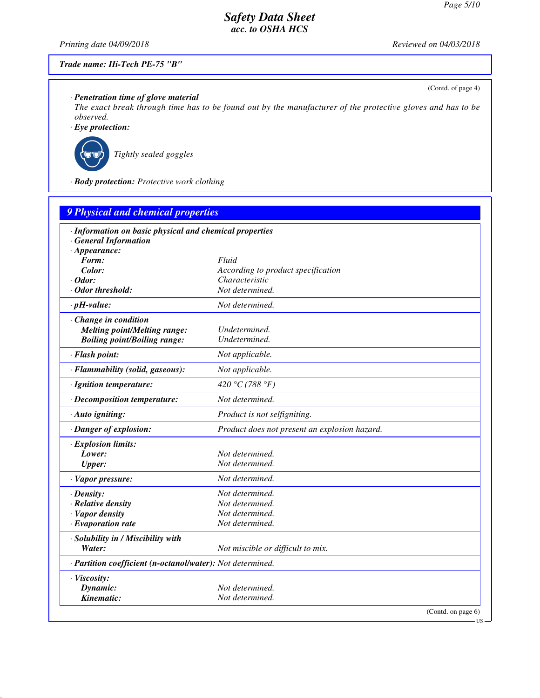(Contd. of page 4)

US

# *Safety Data Sheet acc. to OSHA HCS*

*Printing date 04/09/2018 Reviewed on 04/03/2018*

## *Trade name: Hi-Tech PE-75 "B"*

*· Penetration time of glove material*

*The exact break through time has to be found out by the manufacturer of the protective gloves and has to be observed.*

*· Eye protection:*



\_R*Tightly sealed goggles*

*· Body protection: Protective work clothing*

| <b>9 Physical and chemical properties</b>                  |                                               |  |  |  |
|------------------------------------------------------------|-----------------------------------------------|--|--|--|
| · Information on basic physical and chemical properties    |                                               |  |  |  |
| <b>General Information</b>                                 |                                               |  |  |  |
| $\cdot$ Appearance:                                        |                                               |  |  |  |
| Form:                                                      | Fluid                                         |  |  |  |
| Color:                                                     | According to product specification            |  |  |  |
| $\cdot$ Odor:                                              | Characteristic                                |  |  |  |
| · Odor threshold:                                          | Not determined.                               |  |  |  |
| $\cdot$ pH-value:                                          | Not determined.                               |  |  |  |
| · Change in condition                                      |                                               |  |  |  |
| <b>Melting point/Melting range:</b>                        | Undetermined.                                 |  |  |  |
| <b>Boiling point/Boiling range:</b>                        | Undetermined.                                 |  |  |  |
| · Flash point:                                             | Not applicable.                               |  |  |  |
| · Flammability (solid, gaseous):                           | Not applicable.                               |  |  |  |
| · Ignition temperature:                                    | 420 °C (788 °F)                               |  |  |  |
| · Decomposition temperature:                               | Not determined.                               |  |  |  |
| $\cdot$ Auto igniting:                                     | Product is not selfigniting.                  |  |  |  |
| · Danger of explosion:                                     | Product does not present an explosion hazard. |  |  |  |
| · Explosion limits:                                        |                                               |  |  |  |
| Lower:                                                     | Not determined.                               |  |  |  |
| <b>Upper:</b>                                              | Not determined.                               |  |  |  |
| · Vapor pressure:                                          | Not determined.                               |  |  |  |
| $\cdot$ Density:                                           | Not determined.                               |  |  |  |
| · Relative density                                         | Not determined.                               |  |  |  |
| · Vapor density                                            | Not determined.                               |  |  |  |
| $\cdot$ Evaporation rate                                   | Not determined.                               |  |  |  |
| · Solubility in / Miscibility with                         |                                               |  |  |  |
| Water:                                                     | Not miscible or difficult to mix.             |  |  |  |
| · Partition coefficient (n-octanol/water): Not determined. |                                               |  |  |  |
| · Viscosity:                                               |                                               |  |  |  |
| Dynamic:                                                   | Not determined.                               |  |  |  |
| Kinematic:                                                 | Not determined.                               |  |  |  |
|                                                            | (Contd. on page 6)                            |  |  |  |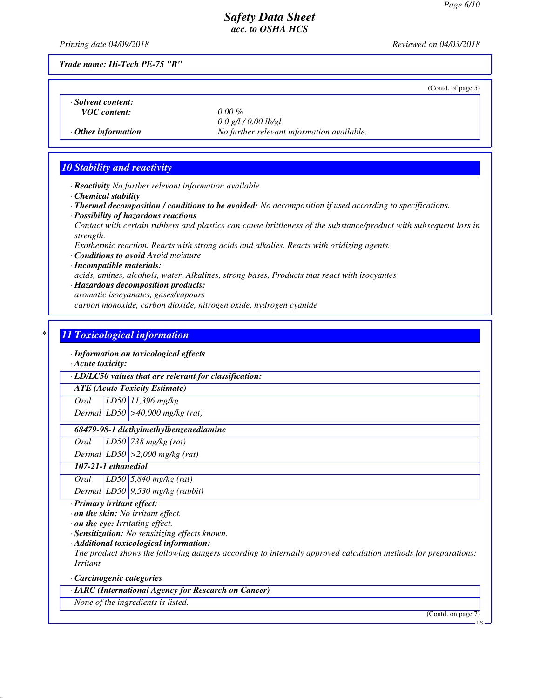(Contd. of page 5)

# *Safety Data Sheet acc. to OSHA HCS*

*Printing date 04/09/2018 Reviewed on 04/03/2018*

*Trade name: Hi-Tech PE-75 "B"*

*· Solvent content:*

*VOC content: 0.00 %*

*0.0 g/l / 0.00 lb/gl · Other information No further relevant information available.*

# *10 Stability and reactivity*

- *· Reactivity No further relevant information available.*
- *· Chemical stability*
- *· Thermal decomposition / conditions to be avoided: No decomposition if used according to specifications.*
- *· Possibility of hazardous reactions Contact with certain rubbers and plastics can cause brittleness of the substance/product with subsequent loss in strength.*
- *Exothermic reaction. Reacts with strong acids and alkalies. Reacts with oxidizing agents.*
- *· Conditions to avoid Avoid moisture*

### *· Incompatible materials: acids, amines, alcohols, water, Alkalines, strong bases, Products that react with isocyantes · Hazardous decomposition products:*

*aromatic isocyanates, gases/vapours carbon monoxide, carbon dioxide, nitrogen oxide, hydrogen cyanide*

# *\* 11 Toxicological information*

*· Information on toxicological effects*

*· Acute toxicity:*

*· LD/LC50 values that are relevant for classification:*

*ATE (Acute Toxicity Estimate)*

*Oral LD50 11,396 mg/kg*

*Dermal LD50 >40,000 mg/kg (rat)*

### *68479-98-1 diethylmethylbenzenediamine*

*Oral LD50 738 mg/kg (rat)*

*Dermal LD50 >2,000 mg/kg (rat)*

# *107-21-1 ethanediol*

*Oral LD50 5,840 mg/kg (rat) Dermal LD50 9,530 mg/kg (rabbit)*

*· Primary irritant effect:*

*· on the skin: No irritant effect.*

*· on the eye: Irritating effect.*

*· Sensitization: No sensitizing effects known.*

*· Additional toxicological information:*

*The product shows the following dangers according to internally approved calculation methods for preparations: Irritant*

*· Carcinogenic categories*

*· IARC (International Agency for Research on Cancer)*

*None of the ingredients is listed.*

(Contd. on page 7)

US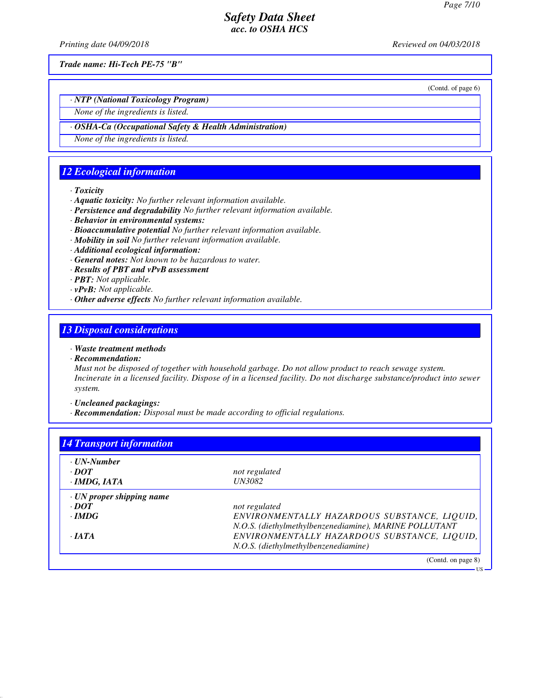*Printing date 04/09/2018 Reviewed on 04/03/2018*

*Trade name: Hi-Tech PE-75 "B"*

(Contd. of page 6)

US

*· NTP (National Toxicology Program)*

*None of the ingredients is listed.*

### *· OSHA-Ca (Occupational Safety & Health Administration)*

*None of the ingredients is listed.*

# *12 Ecological information*

*· Toxicity*

- *· Aquatic toxicity: No further relevant information available.*
- *· Persistence and degradability No further relevant information available.*
- *· Behavior in environmental systems:*
- *· Bioaccumulative potential No further relevant information available.*
- *· Mobility in soil No further relevant information available.*
- *· Additional ecological information:*
- *· General notes: Not known to be hazardous to water.*
- *· Results of PBT and vPvB assessment*
- *· PBT: Not applicable.*
- *· vPvB: Not applicable.*
- *· Other adverse effects No further relevant information available.*

# *13 Disposal considerations*

- *· Waste treatment methods*
- *· Recommendation:*

*Must not be disposed of together with household garbage. Do not allow product to reach sewage system. Incinerate in a licensed facility. Dispose of in a licensed facility. Do not discharge substance/product into sewer system.*

*· Uncleaned packagings:*

*· Recommendation: Disposal must be made according to official regulations.*

| · UN-Number                     |                                                        |
|---------------------------------|--------------------------------------------------------|
| $\cdot$ <i>DOT</i>              | not regulated                                          |
| $\cdot$ IMDG, IATA              | <i>UN3082</i>                                          |
| $\cdot$ UN proper shipping name |                                                        |
| $\cdot$ <i>DOT</i>              | not regulated                                          |
| $\cdot$ IMDG                    | ENVIRONMENTALLY HAZARDOUS SUBSTANCE, LIQUID,           |
|                                 | N.O.S. (diethylmethylbenzenediamine), MARINE POLLUTANT |
| $\cdot$ JATA                    | ENVIRONMENTALLY HAZARDOUS SUBSTANCE, LIQUID,           |
|                                 | N.O.S. (diethylmethylbenzenediamine)                   |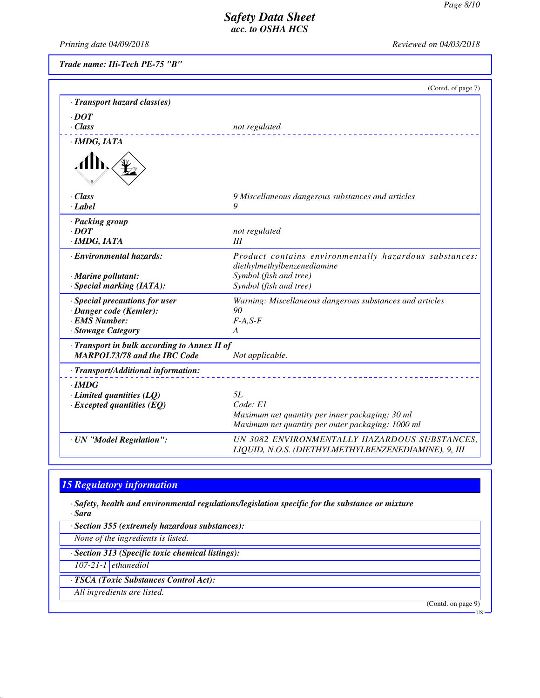*Printing date 04/09/2018 Reviewed on 04/03/2018*

*Trade name: Hi-Tech PE-75 "B"*

|                                              | (Contd. of page 7)                                                                    |
|----------------------------------------------|---------------------------------------------------------------------------------------|
| · Transport hazard class(es)                 |                                                                                       |
| $\cdot$ DOT                                  |                                                                                       |
| $\cdot$ Class                                | not regulated                                                                         |
| · IMDG, IATA                                 |                                                                                       |
|                                              |                                                                                       |
| · Class                                      | 9 Miscellaneous dangerous substances and articles                                     |
| · Label                                      | 9                                                                                     |
| · Packing group                              |                                                                                       |
| $\cdot$ DOT                                  | not regulated                                                                         |
| · IMDG, IATA                                 | III                                                                                   |
| · Environmental hazards:                     | Product contains environmentally hazardous substances:<br>diethylmethylbenzenediamine |
| $\cdot$ Marine pollutant:                    | Symbol (fish and tree)                                                                |
| $\cdot$ Special marking (IATA):              | Symbol (fish and tree)                                                                |
| · Special precautions for user               | Warning: Miscellaneous dangerous substances and articles                              |
| · Danger code (Kemler):                      | 90                                                                                    |
| <b>EMS Number:</b>                           | $F-A, S-F$                                                                            |
| · Stowage Category                           | A                                                                                     |
| · Transport in bulk according to Annex II of |                                                                                       |
| <b>MARPOL73/78 and the IBC Code</b>          | Not applicable.                                                                       |
| · Transport/Additional information:          |                                                                                       |
| $\cdot$ IMDG                                 |                                                                                       |
| $\cdot$ Limited quantities (LQ)              | 5L                                                                                    |
| $\cdot$ Excepted quantities (EQ)             | Code: E1                                                                              |
|                                              | Maximum net quantity per inner packaging: 30 ml                                       |
|                                              | Maximum net quantity per outer packaging: 1000 ml                                     |

*· UN "Model Regulation": UN 3082 ENVIRONMENTALLY HAZARDOUS SUBSTANCES,*

*LIQUID, N.O.S. (DIETHYLMETHYLBENZENEDIAMINE), 9, III*

## *15 Regulatory information*

*· Safety, health and environmental regulations/legislation specific for the substance or mixture · Sara*

*· Section 355 (extremely hazardous substances):*

*None of the ingredients is listed.*

*· Section 313 (Specific toxic chemical listings):*

*107-21-1 ethanediol*

*· TSCA (Toxic Substances Control Act):*

*All ingredients are listed.*

(Contd. on page 9)

US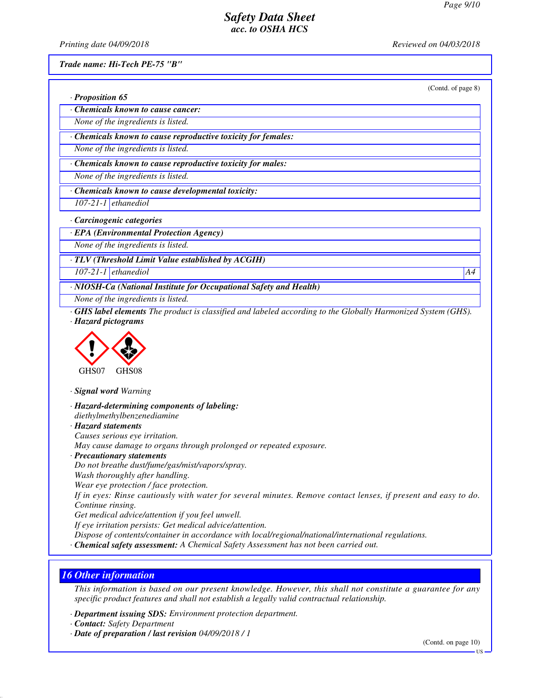*Printing date 04/09/2018 Reviewed on 04/03/2018*

*· Proposition 65*

*Trade name: Hi-Tech PE-75 "B"*

(Contd. of page 8)

*· Chemicals known to cause cancer: None of the ingredients is listed.*

*· Chemicals known to cause reproductive toxicity for females:*

*None of the ingredients is listed.*

*· Chemicals known to cause reproductive toxicity for males:*

*None of the ingredients is listed.*

*· Chemicals known to cause developmental toxicity:*

*107-21-1 ethanediol*

*· Carcinogenic categories*

*· EPA (Environmental Protection Agency)*

*None of the ingredients is listed.*

*· TLV (Threshold Limit Value established by ACGIH)*

*107-21-1 ethanediol A4*

*· NIOSH-Ca (National Institute for Occupational Safety and Health)*

*None of the ingredients is listed.*

*· GHS label elements The product is classified and labeled according to the Globally Harmonized System (GHS). · Hazard pictograms*



*· Signal word Warning*

*· Hazard-determining components of labeling:*

*diethylmethylbenzenediamine · Hazard statements*

*Causes serious eye irritation.*

*May cause damage to organs through prolonged or repeated exposure.*

*· Precautionary statements*

*Do not breathe dust/fume/gas/mist/vapors/spray.*

*Wash thoroughly after handling.*

*Wear eye protection / face protection.*

*If in eyes: Rinse cautiously with water for several minutes. Remove contact lenses, if present and easy to do. Continue rinsing.*

*Get medical advice/attention if you feel unwell.*

*If eye irritation persists: Get medical advice/attention.*

*Dispose of contents/container in accordance with local/regional/national/international regulations.*

*· Chemical safety assessment: A Chemical Safety Assessment has not been carried out.*

## *16 Other information*

*This information is based on our present knowledge. However, this shall not constitute a guarantee for any specific product features and shall not establish a legally valid contractual relationship.*

*· Department issuing SDS: Environment protection department.*

*· Contact: Safety Department*

*· Date of preparation / last revision 04/09/2018 / 1*

(Contd. on page 10)

US